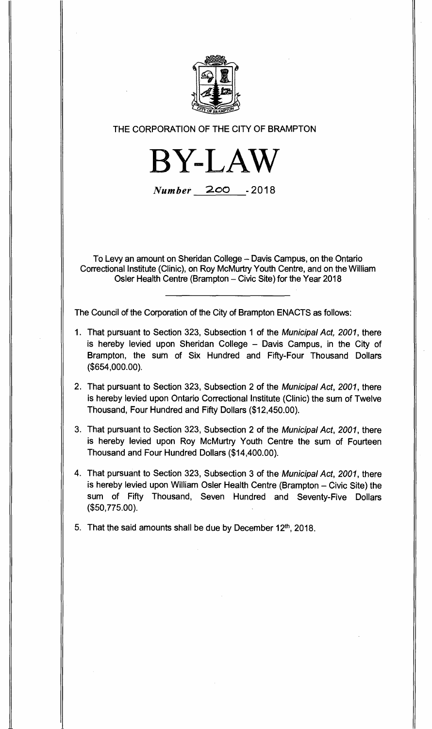

**THE CORPORATION OF THE CITY OF BRAMPTON** 

**BY-LAW** 

Number **200 -2018** 

**To Levy an amount on Sheridan College — Davis Campus, on the Ontario Correctional Institute (Clinic), on Roy McMurtry Youth Centre, and on the William Osier Health Centre (Brampton — Civic Site) for the Year 2018** 

**The Council of the Corporation of the City of Brampton ENACTS as follows:** 

- **1. That pursuant to Section 323, Subsection 1 of the** Municipal Act, 2001, **there is hereby levied upon Sheridan College — Davis Campus, in the City of Brampton, the sum of Six Hundred and Fifty-Four Thousand Dollars (\$654,000.00).**
- **2. That pursuant to Section 323, Subsection 2 of the** Municipal Act, 2001, **there is hereby levied upon Ontario Correctional Institute (Clinic) the sum of Twelve Thousand, Four Hundred and Fifty Dollars (\$12,450.00).**
- **3. That pursuant to Section 323, Subsection 2 of the** Municipal Act, 2001, **there is hereby levied upon Roy McMurtry Youth Centre the sum of Fourteen Thousand and Four Hundred Dollars (\$14,400.00).**
- **4. That pursuant to Section 323, Subsection 3 of the** Municipal Act, 2001, **there is hereby levied upon William Osier Health Centre (Brampton — Civic Site) the sum of Fifty Thousand, Seven Hundred and Seventy-Five Dollars (\$50,775.00).**

**5. That the said amounts shall be due by December 12th, 2018.**